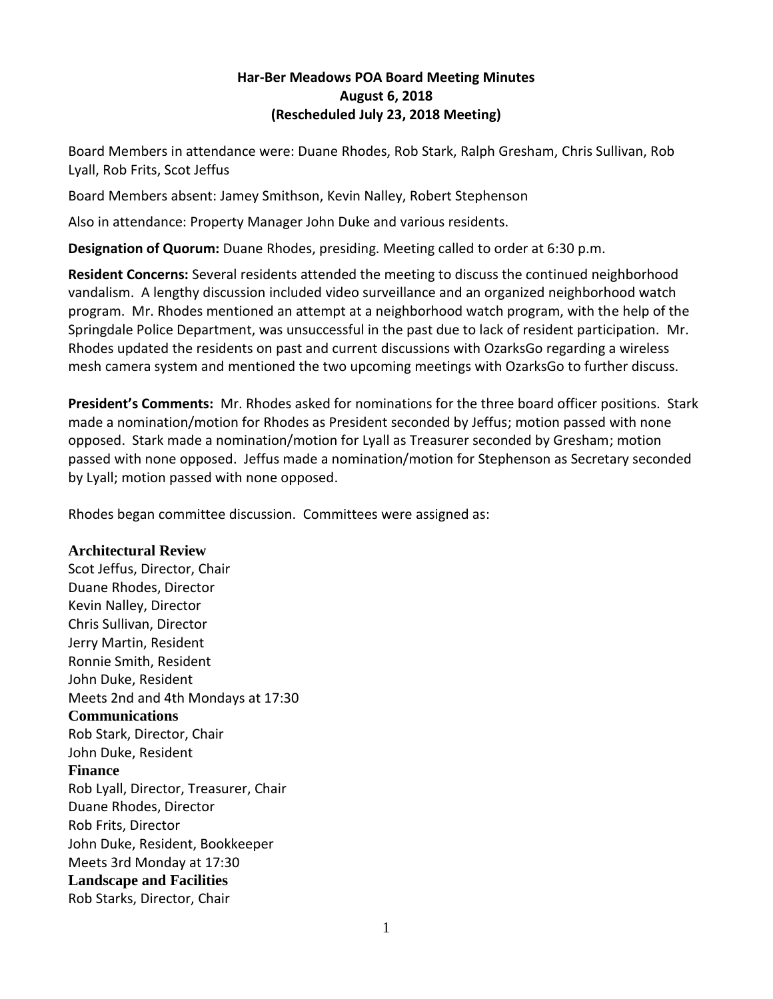## **Har-Ber Meadows POA Board Meeting Minutes August 6, 2018 (Rescheduled July 23, 2018 Meeting)**

Board Members in attendance were: Duane Rhodes, Rob Stark, Ralph Gresham, Chris Sullivan, Rob Lyall, Rob Frits, Scot Jeffus

Board Members absent: Jamey Smithson, Kevin Nalley, Robert Stephenson

Also in attendance: Property Manager John Duke and various residents.

**Designation of Quorum:** Duane Rhodes, presiding. Meeting called to order at 6:30 p.m.

**Resident Concerns:** Several residents attended the meeting to discuss the continued neighborhood vandalism. A lengthy discussion included video surveillance and an organized neighborhood watch program. Mr. Rhodes mentioned an attempt at a neighborhood watch program, with the help of the Springdale Police Department, was unsuccessful in the past due to lack of resident participation. Mr. Rhodes updated the residents on past and current discussions with OzarksGo regarding a wireless mesh camera system and mentioned the two upcoming meetings with OzarksGo to further discuss.

**President's Comments:** Mr. Rhodes asked for nominations for the three board officer positions. Stark made a nomination/motion for Rhodes as President seconded by Jeffus; motion passed with none opposed. Stark made a nomination/motion for Lyall as Treasurer seconded by Gresham; motion passed with none opposed. Jeffus made a nomination/motion for Stephenson as Secretary seconded by Lyall; motion passed with none opposed.

Rhodes began committee discussion. Committees were assigned as:

## **Architectural Review**

Scot Jeffus, Director, Chair Duane Rhodes, Director Kevin Nalley, Director Chris Sullivan, Director Jerry Martin, Resident Ronnie Smith, Resident John Duke, Resident Meets 2nd and 4th Mondays at 17:30 **Communications** Rob Stark, Director, Chair John Duke, Resident **Finance** Rob Lyall, Director, Treasurer, Chair Duane Rhodes, Director Rob Frits, Director John Duke, Resident, Bookkeeper Meets 3rd Monday at 17:30 **Landscape and Facilities** Rob Starks, Director, Chair